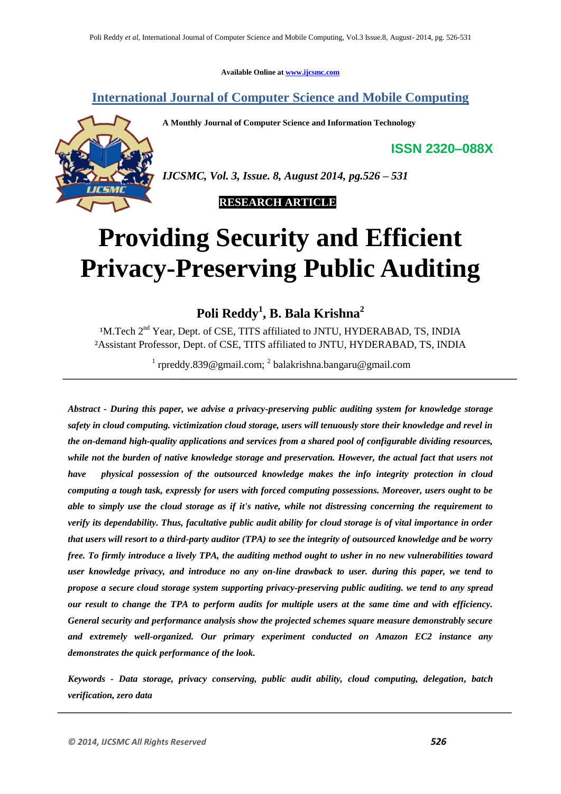**Available Online at www.ijcsmc.com**

# **International Journal of Computer Science and Mobile Computing**

**A Monthly Journal of Computer Science and Information Technology**

**ISSN 2320–088X**



*IJCSMC, Vol. 3, Issue. 8, August 2014, pg.526 – 531*

 **RESEARCH ARTICLE**

# **Providing Security and Efficient Privacy-Preserving Public Auditing**

**Poli Reddy<sup>1</sup> , B. Bala Krishna<sup>2</sup>**

<sup>1</sup>M.Tech 2<sup>nd</sup> Year, Dept. of CSE, TITS affiliated to JNTU, HYDERABAD, TS, INDIA ²Assistant Professor, Dept. of CSE, TITS affiliated to JNTU, HYDERABAD, TS, INDIA

<sup>1</sup> rpreddy.839@gmail.com; <sup>2</sup> balakrishna.bangaru@gmail.com

*Abstract - During this paper, we advise a privacy-preserving public auditing system for knowledge storage safety in cloud computing. victimization cloud storage, users will tenuously store their knowledge and revel in the on-demand high-quality applications and services from a shared pool of configurable dividing resources, while not the burden of native knowledge storage and preservation. However, the actual fact that users not have physical possession of the outsourced knowledge makes the info integrity protection in cloud computing a tough task, expressly for users with forced computing possessions. Moreover, users ought to be able to simply use the cloud storage as if it's native, while not distressing concerning the requirement to verify its dependability. Thus, facultative public audit ability for cloud storage is of vital importance in order that users will resort to a third-party auditor (TPA) to see the integrity of outsourced knowledge and be worry free. To firmly introduce a lively TPA, the auditing method ought to usher in no new vulnerabilities toward user knowledge privacy, and introduce no any on-line drawback to user. during this paper, we tend to propose a secure cloud storage system supporting privacy-preserving public auditing. we tend to any spread our result to change the TPA to perform audits for multiple users at the same time and with efficiency. General security and performance analysis show the projected schemes square measure demonstrably secure and extremely well-organized. Our primary experiment conducted on Amazon EC2 instance any demonstrates the quick performance of the look.*

*Keywords - Data storage, privacy conserving, public audit ability, cloud computing, delegation, batch verification, zero data*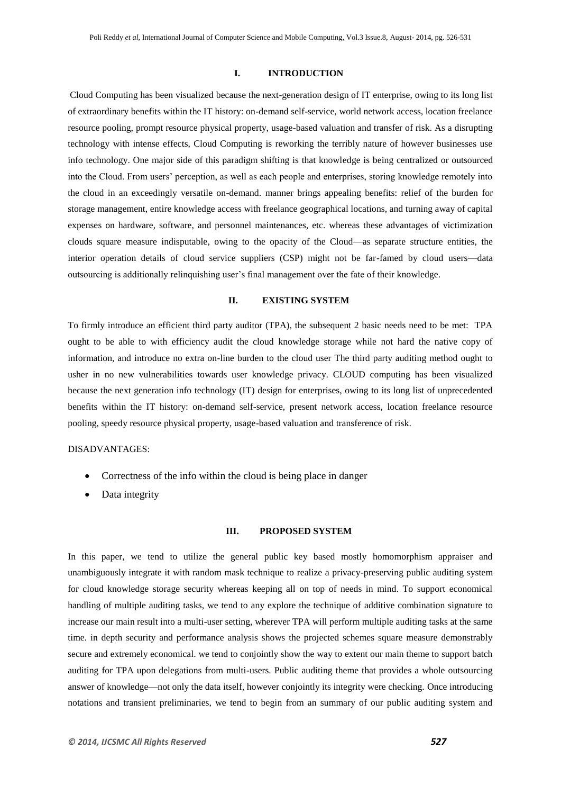#### **I. INTRODUCTION**

Cloud Computing has been visualized because the next-generation design of IT enterprise, owing to its long list of extraordinary benefits within the IT history: on-demand self-service, world network access, location freelance resource pooling, prompt resource physical property, usage-based valuation and transfer of risk. As a disrupting technology with intense effects, Cloud Computing is reworking the terribly nature of however businesses use info technology. One major side of this paradigm shifting is that knowledge is being centralized or outsourced into the Cloud. From users' perception, as well as each people and enterprises, storing knowledge remotely into the cloud in an exceedingly versatile on-demand. manner brings appealing benefits: relief of the burden for storage management, entire knowledge access with freelance geographical locations, and turning away of capital expenses on hardware, software, and personnel maintenances, etc. whereas these advantages of victimization clouds square measure indisputable, owing to the opacity of the Cloud—as separate structure entities, the interior operation details of cloud service suppliers (CSP) might not be far-famed by cloud users—data outsourcing is additionally relinquishing user's final management over the fate of their knowledge.

# **II. EXISTING SYSTEM**

To firmly introduce an efficient third party auditor (TPA), the subsequent 2 basic needs need to be met: TPA ought to be able to with efficiency audit the cloud knowledge storage while not hard the native copy of information, and introduce no extra on-line burden to the cloud user The third party auditing method ought to usher in no new vulnerabilities towards user knowledge privacy. CLOUD computing has been visualized because the next generation info technology (IT) design for enterprises, owing to its long list of unprecedented benefits within the IT history: on-demand self-service, present network access, location freelance resource pooling, speedy resource physical property, usage-based valuation and transference of risk.

# DISADVANTAGES:

- Correctness of the info within the cloud is being place in danger
- Data integrity

#### **III. PROPOSED SYSTEM**

In this paper, we tend to utilize the general public key based mostly homomorphism appraiser and unambiguously integrate it with random mask technique to realize a privacy-preserving public auditing system for cloud knowledge storage security whereas keeping all on top of needs in mind. To support economical handling of multiple auditing tasks, we tend to any explore the technique of additive combination signature to increase our main result into a multi-user setting, wherever TPA will perform multiple auditing tasks at the same time. in depth security and performance analysis shows the projected schemes square measure demonstrably secure and extremely economical. we tend to conjointly show the way to extent our main theme to support batch auditing for TPA upon delegations from multi-users. Public auditing theme that provides a whole outsourcing answer of knowledge—not only the data itself, however conjointly its integrity were checking. Once introducing notations and transient preliminaries, we tend to begin from an summary of our public auditing system and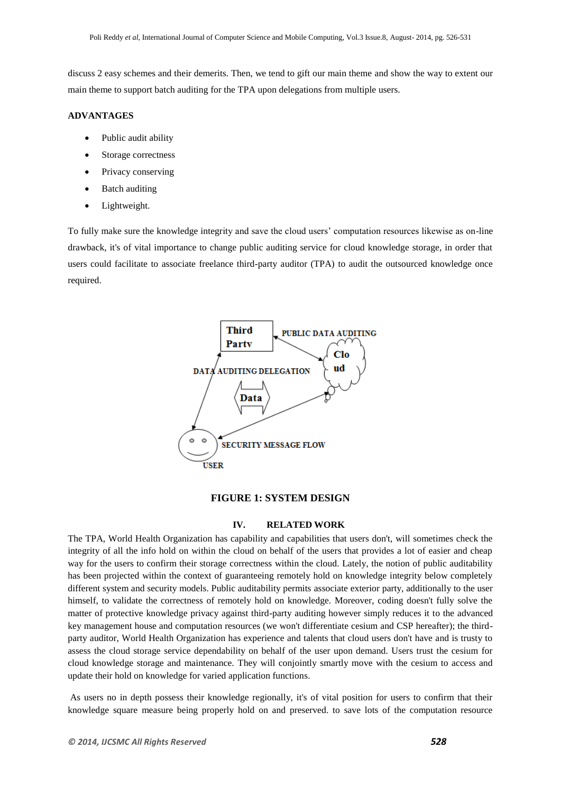discuss 2 easy schemes and their demerits. Then, we tend to gift our main theme and show the way to extent our main theme to support batch auditing for the TPA upon delegations from multiple users.

#### **ADVANTAGES**

- Public audit ability
- Storage correctness
- Privacy conserving
- Batch auditing
- Lightweight.

To fully make sure the knowledge integrity and save the cloud users' computation resources likewise as on-line drawback, it's of vital importance to change public auditing service for cloud knowledge storage, in order that users could facilitate to associate freelance third-party auditor (TPA) to audit the outsourced knowledge once required.



### **FIGURE 1: SYSTEM DESIGN**

# **IV. RELATED WORK**

The TPA, World Health Organization has capability and capabilities that users don't, will sometimes check the integrity of all the info hold on within the cloud on behalf of the users that provides a lot of easier and cheap way for the users to confirm their storage correctness within the cloud. Lately, the notion of public auditability has been projected within the context of guaranteeing remotely hold on knowledge integrity below completely different system and security models. Public auditability permits associate exterior party, additionally to the user himself, to validate the correctness of remotely hold on knowledge. Moreover, coding doesn't fully solve the matter of protective knowledge privacy against third-party auditing however simply reduces it to the advanced key management house and computation resources (we won't differentiate cesium and CSP hereafter); the thirdparty auditor, World Health Organization has experience and talents that cloud users don't have and is trusty to assess the cloud storage service dependability on behalf of the user upon demand. Users trust the cesium for cloud knowledge storage and maintenance. They will conjointly smartly move with the cesium to access and update their hold on knowledge for varied application functions.

As users no in depth possess their knowledge regionally, it's of vital position for users to confirm that their knowledge square measure being properly hold on and preserved. to save lots of the computation resource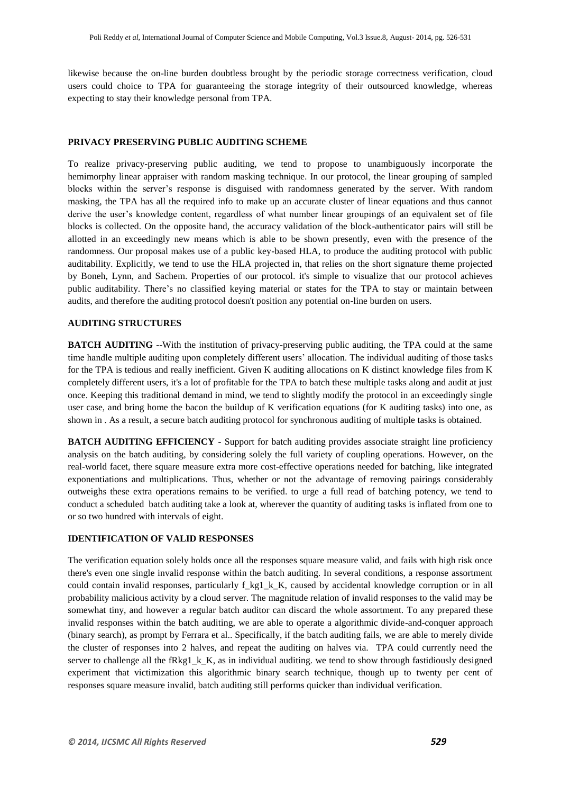likewise because the on-line burden doubtless brought by the periodic storage correctness verification, cloud users could choice to TPA for guaranteeing the storage integrity of their outsourced knowledge, whereas expecting to stay their knowledge personal from TPA.

# **PRIVACY PRESERVING PUBLIC AUDITING SCHEME**

To realize privacy-preserving public auditing, we tend to propose to unambiguously incorporate the hemimorphy linear appraiser with random masking technique. In our protocol, the linear grouping of sampled blocks within the server's response is disguised with randomness generated by the server. With random masking, the TPA has all the required info to make up an accurate cluster of linear equations and thus cannot derive the user's knowledge content, regardless of what number linear groupings of an equivalent set of file blocks is collected. On the opposite hand, the accuracy validation of the block-authenticator pairs will still be allotted in an exceedingly new means which is able to be shown presently, even with the presence of the randomness. Our proposal makes use of a public key-based HLA, to produce the auditing protocol with public auditability. Explicitly, we tend to use the HLA projected in, that relies on the short signature theme projected by Boneh, Lynn, and Sachem. Properties of our protocol. it's simple to visualize that our protocol achieves public auditability. There's no classified keying material or states for the TPA to stay or maintain between audits, and therefore the auditing protocol doesn't position any potential on-line burden on users.

#### **AUDITING STRUCTURES**

**BATCH AUDITING** --With the institution of privacy-preserving public auditing, the TPA could at the same time handle multiple auditing upon completely different users' allocation. The individual auditing of those tasks for the TPA is tedious and really inefficient. Given K auditing allocations on K distinct knowledge files from K completely different users, it's a lot of profitable for the TPA to batch these multiple tasks along and audit at just once. Keeping this traditional demand in mind, we tend to slightly modify the protocol in an exceedingly single user case, and bring home the bacon the buildup of K verification equations (for K auditing tasks) into one, as shown in . As a result, a secure batch auditing protocol for synchronous auditing of multiple tasks is obtained.

**BATCH AUDITING EFFICIENCY** - Support for batch auditing provides associate straight line proficiency analysis on the batch auditing, by considering solely the full variety of coupling operations. However, on the real-world facet, there square measure extra more cost-effective operations needed for batching, like integrated exponentiations and multiplications. Thus, whether or not the advantage of removing pairings considerably outweighs these extra operations remains to be verified. to urge a full read of batching potency, we tend to conduct a scheduled batch auditing take a look at, wherever the quantity of auditing tasks is inflated from one to or so two hundred with intervals of eight.

#### **IDENTIFICATION OF VALID RESPONSES**

The verification equation solely holds once all the responses square measure valid, and fails with high risk once there's even one single invalid response within the batch auditing. In several conditions, a response assortment could contain invalid responses, particularly f\_kg1\_k\_K, caused by accidental knowledge corruption or in all probability malicious activity by a cloud server. The magnitude relation of invalid responses to the valid may be somewhat tiny, and however a regular batch auditor can discard the whole assortment. To any prepared these invalid responses within the batch auditing, we are able to operate a algorithmic divide-and-conquer approach (binary search), as prompt by Ferrara et al.. Specifically, if the batch auditing fails, we are able to merely divide the cluster of responses into 2 halves, and repeat the auditing on halves via. TPA could currently need the server to challenge all the fRkg1  $k$ K, as in individual auditing. we tend to show through fastidiously designed experiment that victimization this algorithmic binary search technique, though up to twenty per cent of responses square measure invalid, batch auditing still performs quicker than individual verification.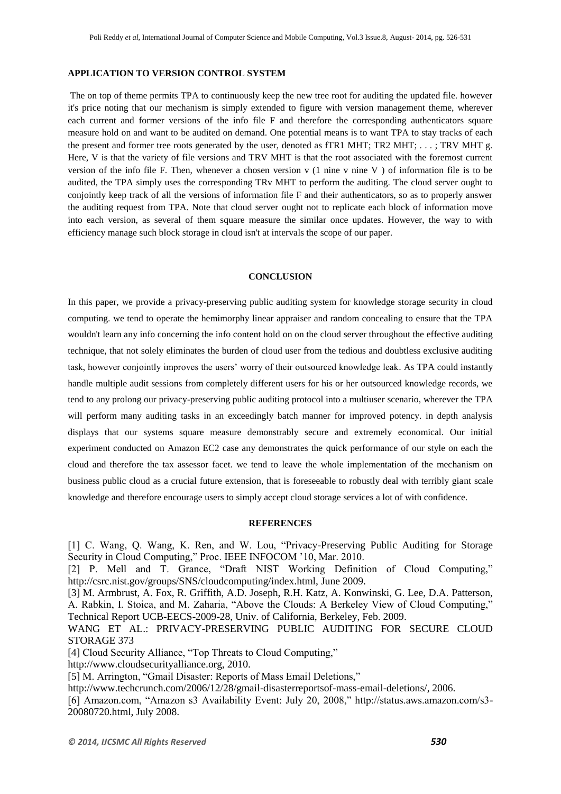#### **APPLICATION TO VERSION CONTROL SYSTEM**

The on top of theme permits TPA to continuously keep the new tree root for auditing the updated file. however it's price noting that our mechanism is simply extended to figure with version management theme, wherever each current and former versions of the info file F and therefore the corresponding authenticators square measure hold on and want to be audited on demand. One potential means is to want TPA to stay tracks of each the present and former tree roots generated by the user, denoted as fTR1 MHT; TR2 MHT; . . . ; TRV MHT g. Here, V is that the variety of file versions and TRV MHT is that the root associated with the foremost current version of the info file F. Then, whenever a chosen version v (1 nine v nine V ) of information file is to be audited, the TPA simply uses the corresponding TRv MHT to perform the auditing. The cloud server ought to conjointly keep track of all the versions of information file F and their authenticators, so as to properly answer the auditing request from TPA. Note that cloud server ought not to replicate each block of information move into each version, as several of them square measure the similar once updates. However, the way to with efficiency manage such block storage in cloud isn't at intervals the scope of our paper.

# **CONCLUSION**

In this paper, we provide a privacy-preserving public auditing system for knowledge storage security in cloud computing. we tend to operate the hemimorphy linear appraiser and random concealing to ensure that the TPA wouldn't learn any info concerning the info content hold on on the cloud server throughout the effective auditing technique, that not solely eliminates the burden of cloud user from the tedious and doubtless exclusive auditing task, however conjointly improves the users' worry of their outsourced knowledge leak. As TPA could instantly handle multiple audit sessions from completely different users for his or her outsourced knowledge records, we tend to any prolong our privacy-preserving public auditing protocol into a multiuser scenario, wherever the TPA will perform many auditing tasks in an exceedingly batch manner for improved potency. in depth analysis displays that our systems square measure demonstrably secure and extremely economical. Our initial experiment conducted on Amazon EC2 case any demonstrates the quick performance of our style on each the cloud and therefore the tax assessor facet. we tend to leave the whole implementation of the mechanism on business public cloud as a crucial future extension, that is foreseeable to robustly deal with terribly giant scale knowledge and therefore encourage users to simply accept cloud storage services a lot of with confidence.

# **REFERENCES**

[1] C. Wang, Q. Wang, K. Ren, and W. Lou, "Privacy-Preserving Public Auditing for Storage Security in Cloud Computing," Proc. IEEE INFOCOM '10, Mar. 2010.

[2] P. Mell and T. Grance, "Draft NIST Working Definition of Cloud Computing," [http://csrc.nist.gov/groups/SNS/cloudcomputing/i](http://csrc.nist.gov/groups/SNS/cloudcomputing/)ndex.html, June 2009.

[3] M. Armbrust, A. Fox, R. Griffith, A.D. Joseph, R.H. Katz, A. Konwinski, G. Lee, D.A. Patterson, A. Rabkin, I. Stoica, and M. Zaharia, "Above the Clouds: A Berkeley View of Cloud Computing," Technical Report UCB-EECS-2009-28, Univ. of California, Berkeley, Feb. 2009.

WANG ET AL.: PRIVACY-PRESERVING PUBLIC AUDITING FOR SECURE CLOUD STORAGE 373

[4] Cloud Security Alliance, "Top Threats to Cloud Computing,"

http://www.cloudsecurityalliance.org, 2010.

[5] M. Arrington, "Gmail Disaster: Reports of Mass Email Deletions,"

http://www.techcrunch.com/2006/12/28/gmail-disasterreportsof-mass-email-deletions/, 2006.

[6] Amazon.com, "Amazon s3 Availability Event: July 20, 2008," http://status.aws.amazon.com/s3- 20080720.html, July 2008.